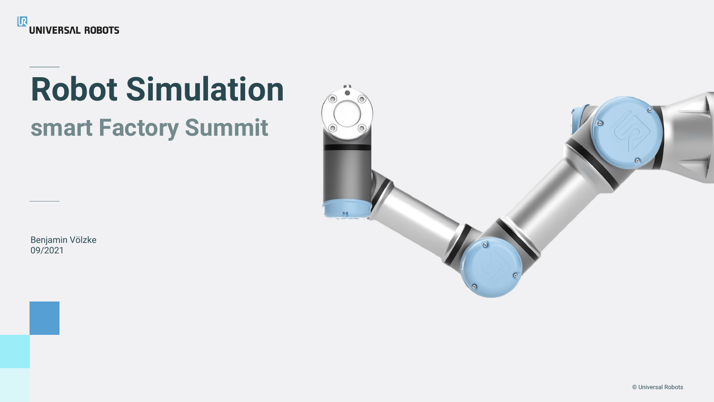

# **Robot Simulation smart Factory Summit**

Benjamin Völzke 09/2021

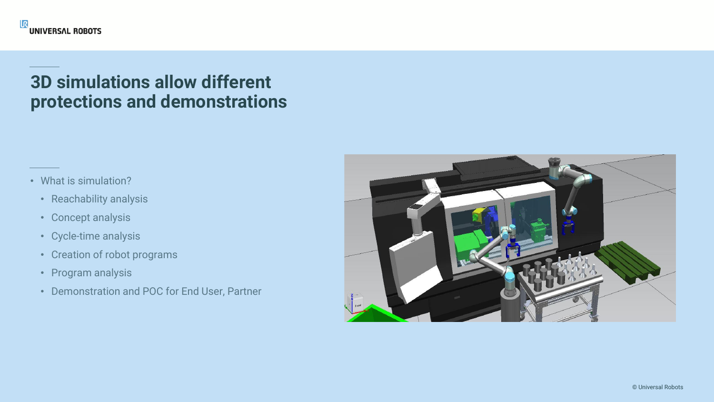#### **3D simulations allow different protections and demonstrations**

- What is simulation?
	- Reachability analysis
	- Concept analysis
	- Cycle-time analysis
	- Creation of robot programs
	- Program analysis
	- Demonstration and POC for End User, Partner

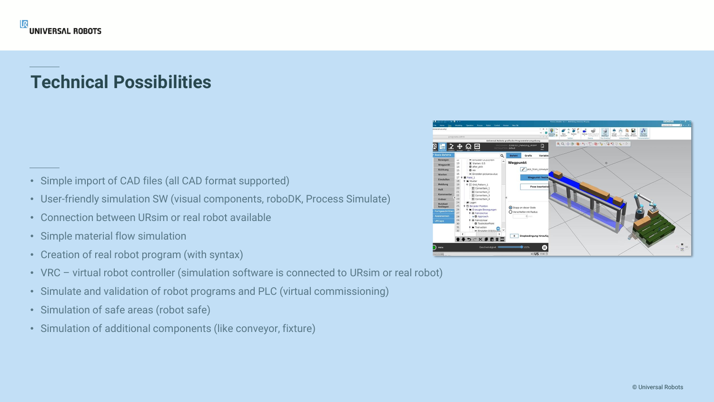### **Technical Possibilities**

- Simple import of CAD files (all CAD format supported)
- User-friendly simulation SW (visual components, roboDK, Process Simulate)
- Connection between URsim or real robot available
- Simple material flow simulation
- Creation of real robot program (with syntax)
- VRC virtual robot controller (simulation software is connected to URsim or real robot)
- Simulate and validation of robot programs and PLC (virtual commissioning)
- Simulation of safe areas (robot safe)
- Simulation of additional components (like conveyor, fixture)

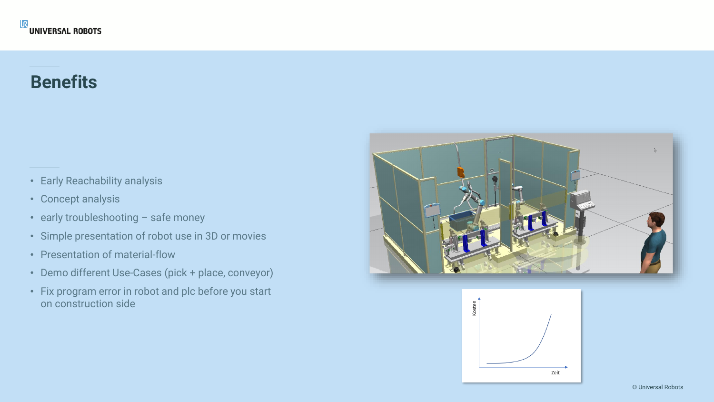#### **Benefits**

- Early Reachability analysis
- Concept analysis
- early troubleshooting safe money
- Simple presentation of robot use in 3D or movies
- Presentation of material-flow
- Demo different Use-Cases (pick + place, conveyor)
- Fix program error in robot and plc before you start on construction side